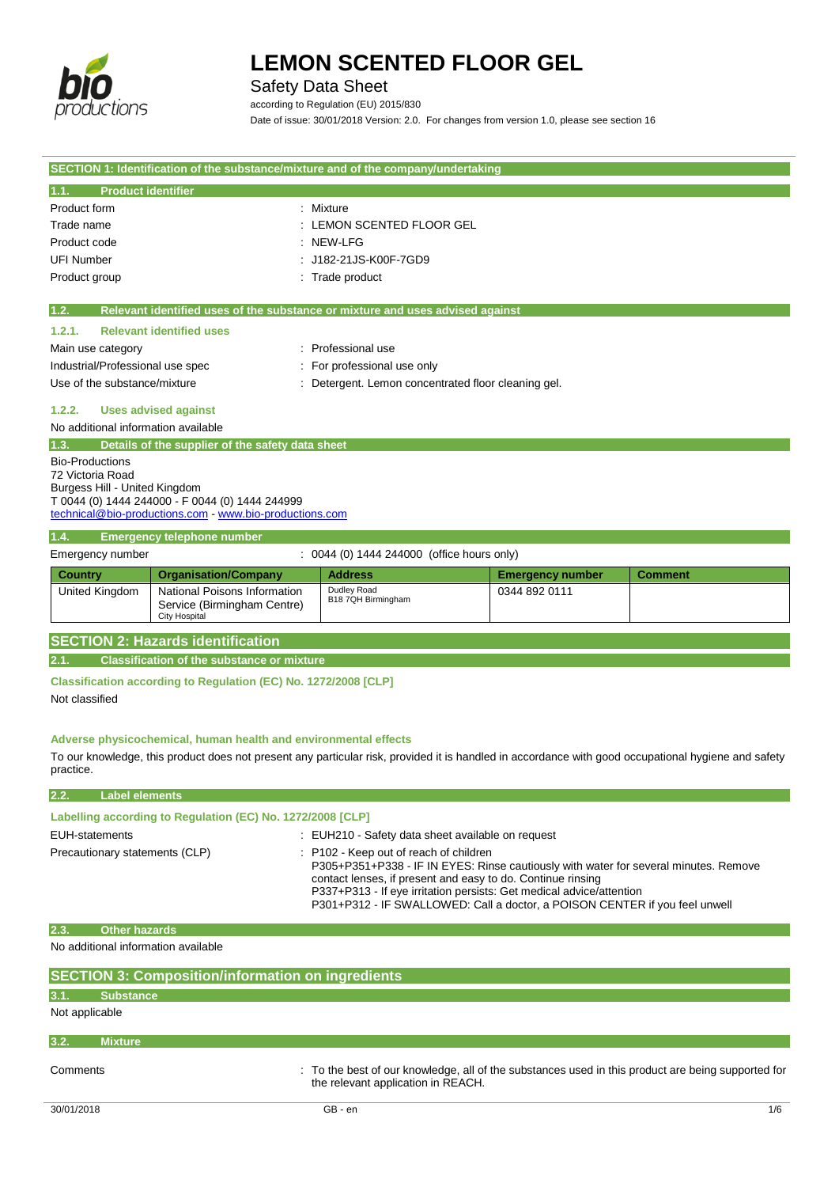

# Safety Data Sheet

**SECTION 1: Identification of the substance/mixture and of the company/undertaking**

according to Regulation (EU) 2015/830 Date of issue: 30/01/2018 Version: 2.0. For changes from version 1.0, please see section 16

| <b>Product identifier</b><br>1.1.   |                                                                                                            |                                                                                                                                                     |                         |                |
|-------------------------------------|------------------------------------------------------------------------------------------------------------|-----------------------------------------------------------------------------------------------------------------------------------------------------|-------------------------|----------------|
| Product form                        | : Mixture                                                                                                  |                                                                                                                                                     |                         |                |
| Trade name                          |                                                                                                            | : LEMON SCENTED FLOOR GEL                                                                                                                           |                         |                |
| Product code                        |                                                                                                            | $:$ NEW-LFG                                                                                                                                         |                         |                |
| <b>UFI Number</b>                   |                                                                                                            | : J182-21JS-K00F-7GD9                                                                                                                               |                         |                |
| Product group                       |                                                                                                            | : Trade product                                                                                                                                     |                         |                |
|                                     |                                                                                                            |                                                                                                                                                     |                         |                |
| 1.2.                                |                                                                                                            | Relevant identified uses of the substance or mixture and uses advised against                                                                       |                         |                |
| 1.2.1.                              | <b>Relevant identified uses</b>                                                                            |                                                                                                                                                     |                         |                |
| Main use category                   |                                                                                                            | : Professional use                                                                                                                                  |                         |                |
| Industrial/Professional use spec    |                                                                                                            | : For professional use only                                                                                                                         |                         |                |
| Use of the substance/mixture        |                                                                                                            | : Detergent. Lemon concentrated floor cleaning gel.                                                                                                 |                         |                |
| 1.2.2.                              | <b>Uses advised against</b>                                                                                |                                                                                                                                                     |                         |                |
| No additional information available |                                                                                                            |                                                                                                                                                     |                         |                |
| 1.3.                                | Details of the supplier of the safety data sheet                                                           |                                                                                                                                                     |                         |                |
| <b>Bio-Productions</b>              |                                                                                                            |                                                                                                                                                     |                         |                |
| 72 Victoria Road                    |                                                                                                            |                                                                                                                                                     |                         |                |
| Burgess Hill - United Kingdom       |                                                                                                            |                                                                                                                                                     |                         |                |
|                                     | T 0044 (0) 1444 244000 - F 0044 (0) 1444 244999<br>technical@bio-productions.com - www.bio-productions.com |                                                                                                                                                     |                         |                |
|                                     |                                                                                                            |                                                                                                                                                     |                         |                |
| 1.4.<br>Emergency number            | <b>Emergency telephone number</b>                                                                          | : 0044 (0) 1444 244000 (office hours only)                                                                                                          |                         |                |
|                                     |                                                                                                            |                                                                                                                                                     |                         |                |
| <b>Country</b>                      | <b>Organisation/Company</b>                                                                                | <b>Address</b><br>Dudley Road                                                                                                                       | <b>Emergency number</b> | <b>Comment</b> |
| United Kingdom                      | National Poisons Information<br>Service (Birmingham Centre)                                                | B18 7QH Birmingham                                                                                                                                  | 0344 892 0111           |                |
|                                     | <b>City Hospital</b>                                                                                       |                                                                                                                                                     |                         |                |
|                                     | <b>SECTION 2: Hazards identification</b>                                                                   |                                                                                                                                                     |                         |                |
|                                     | <b>Classification of the substance or mixture</b>                                                          |                                                                                                                                                     |                         |                |
|                                     |                                                                                                            |                                                                                                                                                     |                         |                |
|                                     | Classification according to Regulation (EC) No. 1272/2008 [CLP]                                            |                                                                                                                                                     |                         |                |
| Not classified                      |                                                                                                            |                                                                                                                                                     |                         |                |
|                                     |                                                                                                            |                                                                                                                                                     |                         |                |
|                                     | Adverse physicochemical, human health and environmental effects                                            |                                                                                                                                                     |                         |                |
|                                     |                                                                                                            | To our knowledge, this product does not present any particular risk, provided it is handled in accordance with good occupational hygiene and safety |                         |                |
| practice.                           |                                                                                                            |                                                                                                                                                     |                         |                |
| <b>Label elements</b><br>2.2.       |                                                                                                            |                                                                                                                                                     |                         |                |
|                                     | Labelling according to Regulation (EC) No. 1272/2008 [CLP]                                                 |                                                                                                                                                     |                         |                |
| <b>EUH-statements</b>               |                                                                                                            | : EUH210 - Safety data sheet available on request                                                                                                   |                         |                |
| Precautionary statements (CLP)      |                                                                                                            | : P102 - Keep out of reach of children                                                                                                              |                         |                |
|                                     |                                                                                                            | P305+P351+P338 - IF IN EYES: Rinse cautiously with water for several minutes. Remove                                                                |                         |                |
|                                     |                                                                                                            | contact lenses, if present and easy to do. Continue rinsing<br>P337+P313 - If eye irritation persists: Get medical advice/attention                 |                         |                |
|                                     |                                                                                                            | P301+P312 - IF SWALLOWED: Call a doctor, a POISON CENTER if you feel unwell                                                                         |                         |                |
| <b>Other hazards</b><br>2.3.        |                                                                                                            |                                                                                                                                                     |                         |                |
| No additional information available |                                                                                                            |                                                                                                                                                     |                         |                |
|                                     |                                                                                                            |                                                                                                                                                     |                         |                |
|                                     | <b>SECTION 3: Composition/information on ingredients</b>                                                   |                                                                                                                                                     |                         |                |
| 3.1.<br><b>Substance</b>            |                                                                                                            |                                                                                                                                                     |                         |                |
| Not applicable                      |                                                                                                            |                                                                                                                                                     |                         |                |
|                                     |                                                                                                            |                                                                                                                                                     |                         |                |
| <b>Mixture</b><br>3.2.              |                                                                                                            |                                                                                                                                                     |                         |                |
| Comments                            |                                                                                                            | : To the best of our knowledge, all of the substances used in this product are being supported for                                                  |                         |                |
|                                     |                                                                                                            | the relevant application in REACH.                                                                                                                  |                         |                |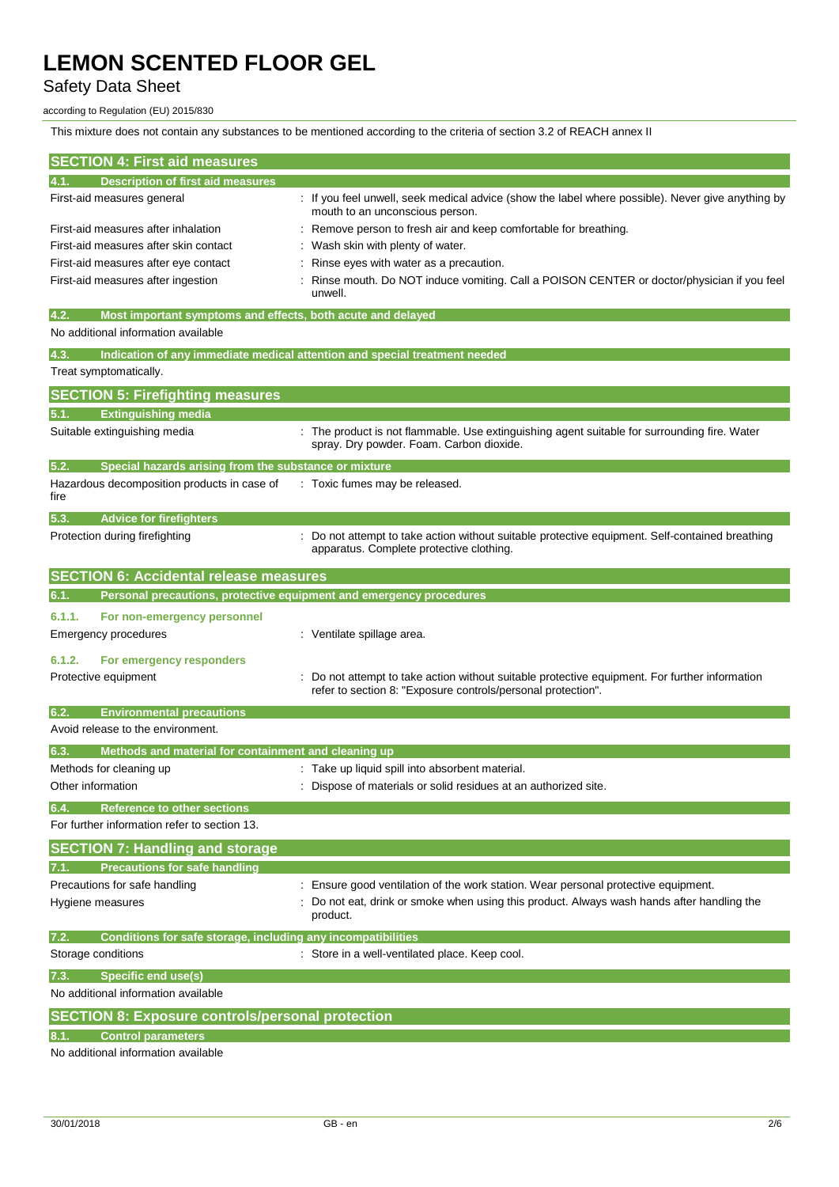This mixture does not contain any substances to be mentioned according to the criteria of section 3.2 of REACH annex II

## Safety Data Sheet

### according to Regulation (EU) 2015/830

**SECTION 4: First aid measures 4.1. Description of first aid measures** First-aid measures general example in the univell, seek medical advice (show the label where possible). Never give anything by mouth to an unconscious person. First-aid measures after inhalation : Remove person to fresh air and keep comfortable for breathing. First-aid measures after skin contact : Wash skin with plenty of water. First-aid measures after eye contact : Rinse eyes with water as a precaution. First-aid measures after ingestion : Rinse mouth. Do NOT induce vomiting. Call a POISON CENTER or doctor/physician if you feel unwell. **4.2. Most important symptoms and effects, both acute and delayed** No additional information available **4.3. Indication of any immediate medical attention and special treatment needed** Treat symptomatically. **SECTION 5: Firefighting measures 5.1. Extinguishing media** Suitable extinguishing media : The product is not flammable. Use extinguishing agent suitable for surrounding fire. Water spray. Dry powder. Foam. Carbon dioxide. **5.2. Special hazards arising from the substance or mixture** Hazardous decomposition products in case of fire : Toxic fumes may be released. **5.3. Advice for firefighters** Protection during firefighting **intercoll and the CO** not attempt to take action without suitable protective equipment. Self-contained breathing apparatus. Complete protective clothing. **SECTION 6: Accidental release measures 6.1. Personal precautions, protective equipment and emergency procedures 6.1.1. For non-emergency personnel** Emergency procedures **in the contract of the Contract Contract Contract Contract Contract Contract Contract Contract Contract Contract Contract Contract Contract Contract Contract Contract Contract Contract Contract Contra 6.1.2. For emergency responders** Protective equipment **interest in the suitable controller information** : Do not attempt to take action without suitable protective equipment. For further information refer to section 8: "Exposure controls/personal protection". **6.2. Environmental precautions** Avoid release to the environment. **6.3. Methods and material for containment and cleaning up** Methods for cleaning up example of the state up liquid spill into absorbent material. Other information **intervals and the Contract of Materials or solid residues at an authorized site. 6.4. Reference to other sections** For further information refer to section 13. **SECTION 7: Handling and storage 7.1. Precautions for safe handling** Precautions for safe handling : Ensure good ventilation of the work station. Wear personal protective equipment. Hygiene measures **included in the state of the state of the state of the state of the state of the state of the state of the state of the state of the state of the state of the state of the state of the state of the state** product. **7.2. Conditions for safe storage, including any incompatibilities** Storage conditions **Storage conditions** : Store in a well-ventilated place. Keep cool. **7.3. Specific end use(s)** No additional information available **SECTION 8: Exposure controls/personal protection 8.1. Control parameters**

No additional information available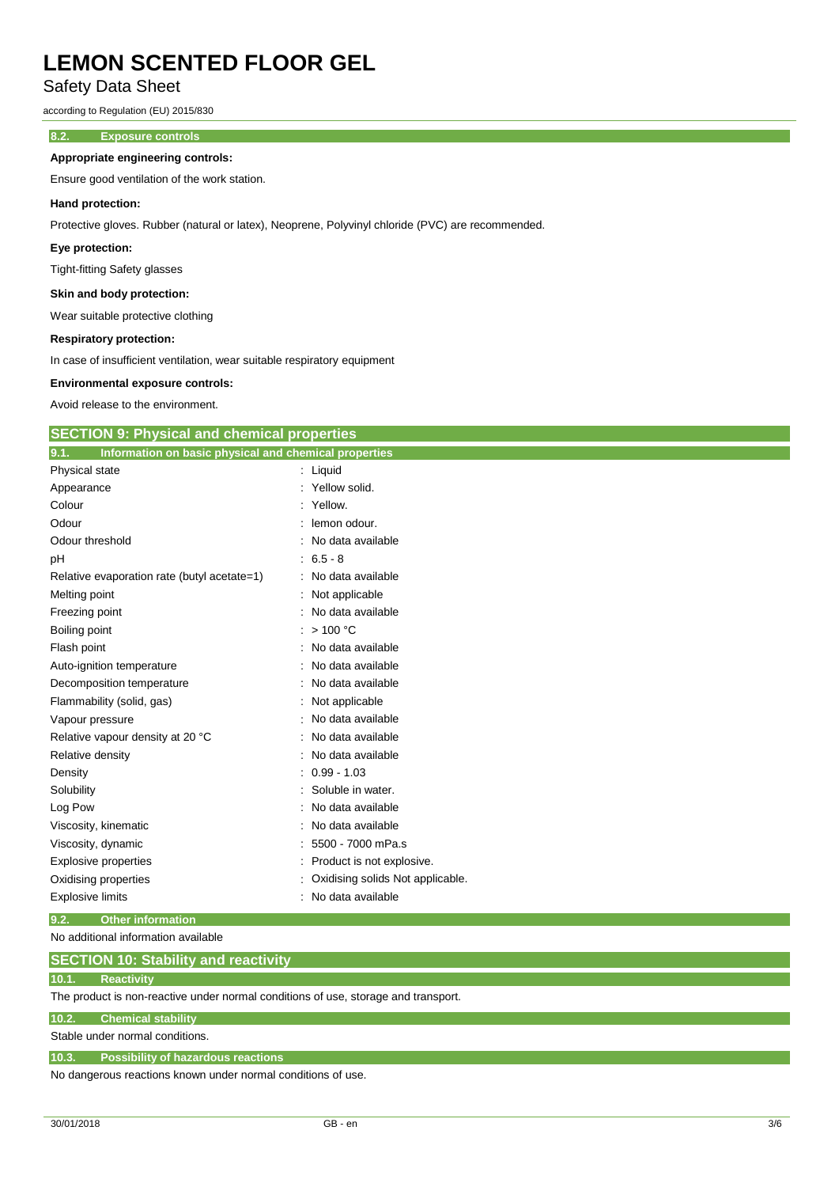Safety Data Sheet

according to Regulation (EU) 2015/830

## **8.2. Exposure controls**

### **Appropriate engineering controls:**

Ensure good ventilation of the work station.

#### **Hand protection:**

Protective gloves. Rubber (natural or latex), Neoprene, Polyvinyl chloride (PVC) are recommended.

#### **Eye protection:**

Tight-fitting Safety glasses

### **Skin and body protection:**

Wear suitable protective clothing

#### **Respiratory protection:**

In case of insufficient ventilation, wear suitable respiratory equipment

#### **Environmental exposure controls:**

Avoid release to the environment.

| <b>SECTION 9: Physical and chemical properties</b>            |                                  |
|---------------------------------------------------------------|----------------------------------|
|                                                               |                                  |
| 9.1.<br>Information on basic physical and chemical properties |                                  |
| Physical state                                                | : Liquid                         |
| Appearance                                                    | Yellow solid.                    |
| Colour                                                        | Yellow.                          |
| Odour                                                         | lemon odour.                     |
| Odour threshold                                               | No data available                |
| pH                                                            | $6.5 - 8$                        |
| Relative evaporation rate (butyl acetate=1)                   | No data available                |
| Melting point                                                 | Not applicable                   |
| Freezing point                                                | No data available                |
| Boiling point                                                 | >100 °C                          |
| Flash point                                                   | No data available                |
| Auto-ignition temperature                                     | No data available                |
| Decomposition temperature                                     | No data available                |
| Flammability (solid, gas)                                     | Not applicable                   |
| Vapour pressure                                               | No data available                |
| Relative vapour density at 20 °C                              | No data available                |
| Relative density                                              | No data available                |
| Density                                                       | $0.99 - 1.03$                    |
| Solubility                                                    | Soluble in water.                |
| Log Pow                                                       | No data available                |
| Viscosity, kinematic                                          | No data available                |
| Viscosity, dynamic                                            | 5500 - 7000 mPa.s                |
| Explosive properties                                          | Product is not explosive.        |
| Oxidising properties                                          | Oxidising solids Not applicable. |
| <b>Explosive limits</b>                                       | No data available                |
| 9.2.<br><b>Other information</b>                              |                                  |

## No additional information available

# **SECTION 10: Stability and reactivity**

### **10.1. Reactivity**

The product is non-reactive under normal conditions of use, storage and transport.

### **10.2. Chemical stability**

Stable under normal conditions.

### **10.3. Possibility of hazardous reactions**

No dangerous reactions known under normal conditions of use.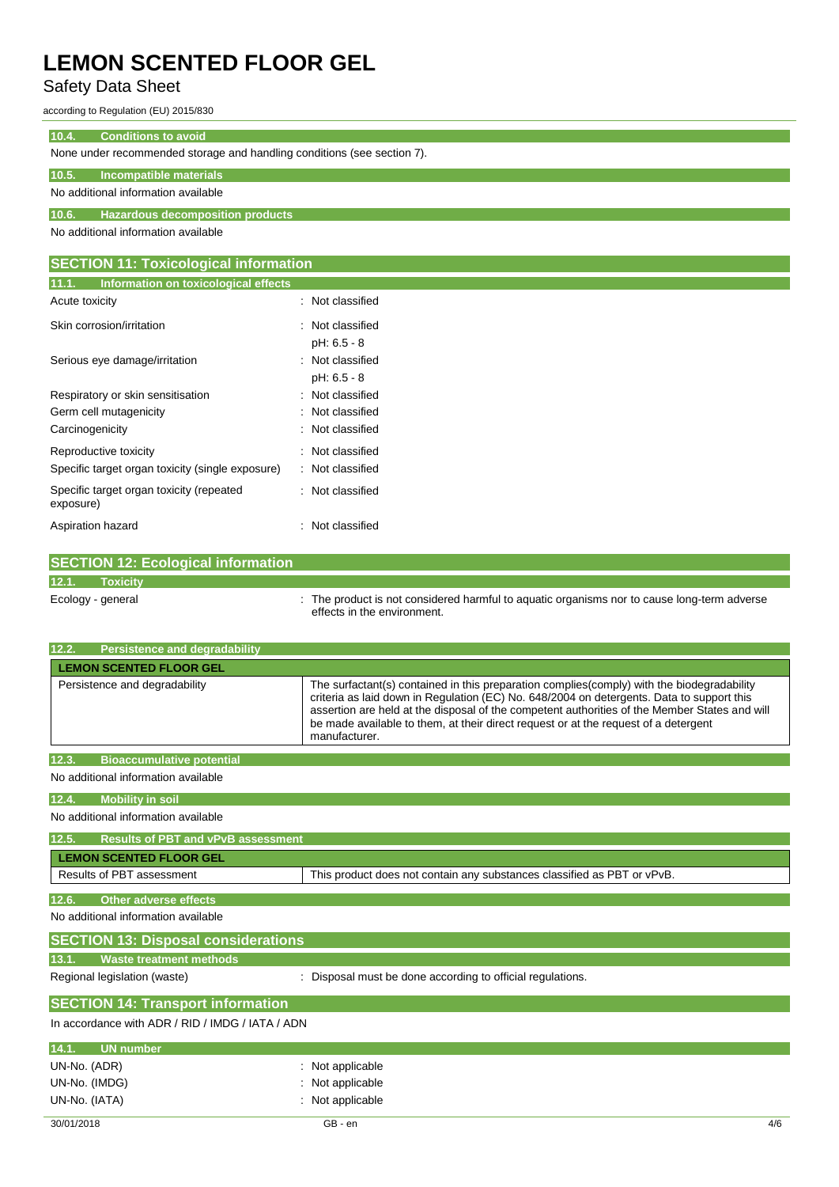# Safety Data Sheet

according to Regulation (EU) 2015/830

### **10.4. Conditions to avoid**

None under recommended storage and handling conditions (see section 7).

## **10.5. Incompatible materials**

No additional information available

# **10.6. Hazardous decomposition products**

No additional information available

| <b>SECTION 11: Toxicological information</b>          |                  |  |
|-------------------------------------------------------|------------------|--|
| 11.1.<br>Information on toxicological effects         |                  |  |
| Acute toxicity                                        | : Not classified |  |
| Skin corrosion/irritation                             | : Not classified |  |
|                                                       | pH: 6.5 - 8      |  |
| Serious eye damage/irritation                         | : Not classified |  |
|                                                       | pH: 6.5 - 8      |  |
| Respiratory or skin sensitisation                     | : Not classified |  |
| Germ cell mutagenicity                                | : Not classified |  |
| Carcinogenicity                                       | : Not classified |  |
| Reproductive toxicity                                 | : Not classified |  |
| Specific target organ toxicity (single exposure)      | : Not classified |  |
| Specific target organ toxicity (repeated<br>exposure) | : Not classified |  |
| Aspiration hazard                                     | : Not classified |  |

|                   | <b>SECTION 12: Ecological information</b> |                                                                                                                            |
|-------------------|-------------------------------------------|----------------------------------------------------------------------------------------------------------------------------|
| 12.1.             | <b>Toxicity</b>                           |                                                                                                                            |
| Ecology - general |                                           | : The product is not considered harmful to aquatic organisms nor to cause long-term adverse<br>effects in the environment. |

| 12.2.<br><b>Persistence and degradability</b> |                                                                                                                                                                                                                                                                                                                                                                                                   |
|-----------------------------------------------|---------------------------------------------------------------------------------------------------------------------------------------------------------------------------------------------------------------------------------------------------------------------------------------------------------------------------------------------------------------------------------------------------|
| <b>LEMON SCENTED FLOOR GEL</b>                |                                                                                                                                                                                                                                                                                                                                                                                                   |
| Persistence and degradability                 | The surfactant(s) contained in this preparation complies (comply) with the biodegradability<br>criteria as laid down in Regulation (EC) No. 648/2004 on detergents. Data to support this<br>assertion are held at the disposal of the competent authorities of the Member States and will<br>be made available to them, at their direct request or at the request of a detergent<br>manufacturer. |
| 12.3.<br><b>Bioaccumulative potential</b>     |                                                                                                                                                                                                                                                                                                                                                                                                   |
| No additional information available           |                                                                                                                                                                                                                                                                                                                                                                                                   |

### **12.4. Mobility in soil**

No additional information available

| 12.5. | <b>Results of PBT and vPvB assessment</b> |                                                                         |
|-------|-------------------------------------------|-------------------------------------------------------------------------|
|       | <b>LEMON SCENTED FLOOR GEL</b>            |                                                                         |
|       | Results of PBT assessment                 | This product does not contain any substances classified as PBT or vPvB. |
|       |                                           |                                                                         |

| 12.6. | Other adverse effects                      |  |  |
|-------|--------------------------------------------|--|--|
|       | No additional information available        |  |  |
|       | <b>SECTION 13: Disposal considerations</b> |  |  |

**13.1. Waste treatment methods**

Regional legislation (waste) : Disposal must be done according to official regulations.

## **SECTION 14: Transport information**

In accordance with ADR / RID / IMDG / IATA / ADN

| 14.1.         | UN number |                  |  |
|---------------|-----------|------------------|--|
| UN-No. (ADR)  |           | : Not applicable |  |
| UN-No. (IMDG) |           | Not applicable   |  |
| UN-No. (IATA) |           | : Not applicable |  |
|               |           |                  |  |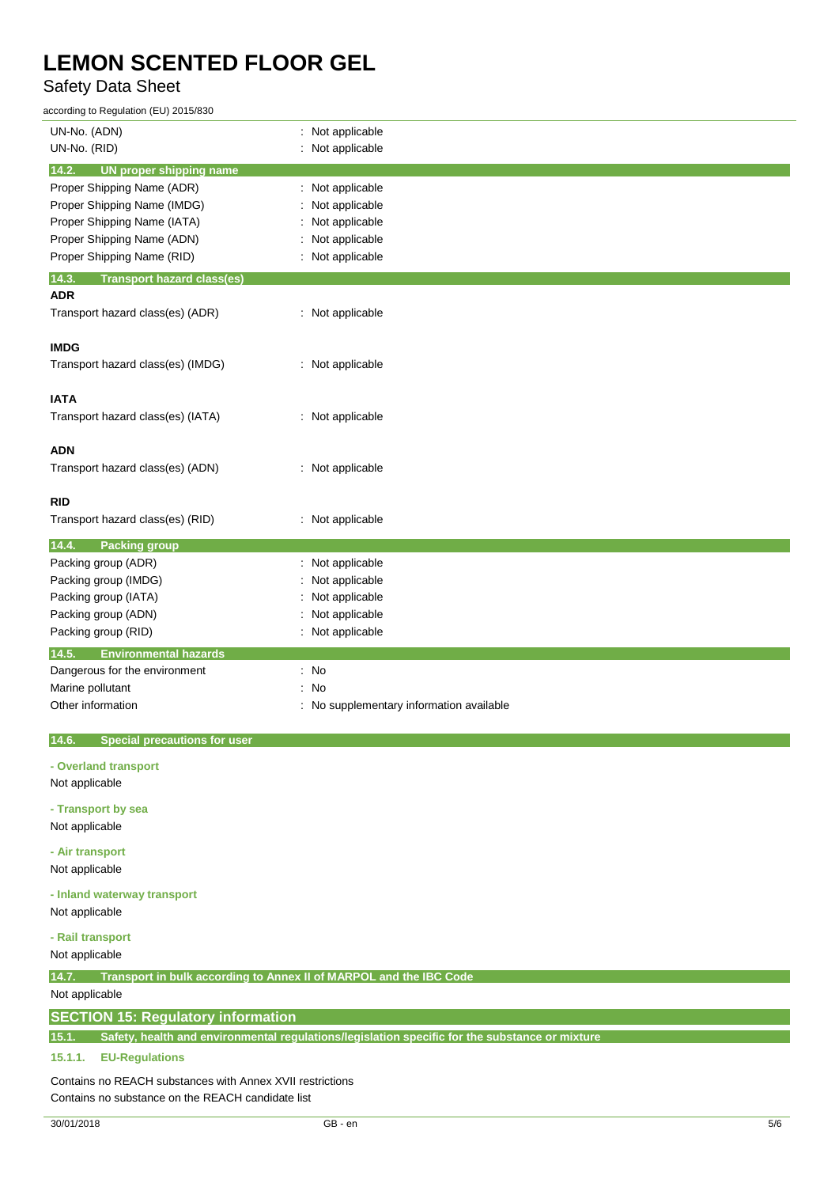# Safety Data Sheet

| according to Regulation (EU) 2015/830                                                                   |                                        |  |
|---------------------------------------------------------------------------------------------------------|----------------------------------------|--|
| UN-No. (ADN)                                                                                            | : Not applicable                       |  |
| UN-No. (RID)                                                                                            | : Not applicable                       |  |
| 14.2.<br>UN proper shipping name                                                                        |                                        |  |
| Proper Shipping Name (ADR)                                                                              | : Not applicable                       |  |
| Proper Shipping Name (IMDG)                                                                             | Not applicable                         |  |
| Proper Shipping Name (IATA)                                                                             | Not applicable                         |  |
| Proper Shipping Name (ADN)                                                                              | Not applicable                         |  |
| Proper Shipping Name (RID)                                                                              | Not applicable                         |  |
| <b>Transport hazard class(es)</b><br>14.3.                                                              |                                        |  |
| <b>ADR</b>                                                                                              |                                        |  |
| Transport hazard class(es) (ADR)                                                                        | : Not applicable                       |  |
| <b>IMDG</b>                                                                                             |                                        |  |
| Transport hazard class(es) (IMDG)                                                                       | : Not applicable                       |  |
|                                                                                                         |                                        |  |
| <b>IATA</b>                                                                                             |                                        |  |
| Transport hazard class(es) (IATA)                                                                       | : Not applicable                       |  |
|                                                                                                         |                                        |  |
| <b>ADN</b>                                                                                              |                                        |  |
| Transport hazard class(es) (ADN)                                                                        | : Not applicable                       |  |
|                                                                                                         |                                        |  |
| <b>RID</b>                                                                                              |                                        |  |
| Transport hazard class(es) (RID)                                                                        | : Not applicable                       |  |
| 14.4.<br><b>Packing group</b>                                                                           |                                        |  |
| Packing group (ADR)                                                                                     | : Not applicable                       |  |
| Packing group (IMDG)                                                                                    | Not applicable                         |  |
| Packing group (IATA)                                                                                    | Not applicable                         |  |
| Packing group (ADN)                                                                                     | Not applicable                         |  |
| Packing group (RID)                                                                                     | : Not applicable                       |  |
| 14.5.<br><b>Environmental hazards</b>                                                                   |                                        |  |
| Dangerous for the environment                                                                           | : No                                   |  |
| Marine pollutant                                                                                        | : No                                   |  |
| Other information                                                                                       | No supplementary information available |  |
| 14.6.<br><b>Special precautions for user</b>                                                            |                                        |  |
|                                                                                                         |                                        |  |
| - Overland transport                                                                                    |                                        |  |
| Not applicable                                                                                          |                                        |  |
| - Transport by sea                                                                                      |                                        |  |
| Not applicable                                                                                          |                                        |  |
| - Air transport                                                                                         |                                        |  |
| Not applicable                                                                                          |                                        |  |
|                                                                                                         |                                        |  |
| - Inland waterway transport                                                                             |                                        |  |
| Not applicable                                                                                          |                                        |  |
| - Rail transport                                                                                        |                                        |  |
| Not applicable                                                                                          |                                        |  |
| Transport in bulk according to Annex II of MARPOL and the IBC Code<br>14.7.                             |                                        |  |
| Not applicable                                                                                          |                                        |  |
| <b>SECTION 15: Regulatory information</b>                                                               |                                        |  |
| Safety, health and environmental regulations/legislation specific for the substance or mixture<br>15.1. |                                        |  |
| 15.1.1.<br><b>EU-Regulations</b>                                                                        |                                        |  |
| Contains no REACH substances with Annex XVII restrictions                                               |                                        |  |
|                                                                                                         |                                        |  |

Contains no substance on the REACH candidate list